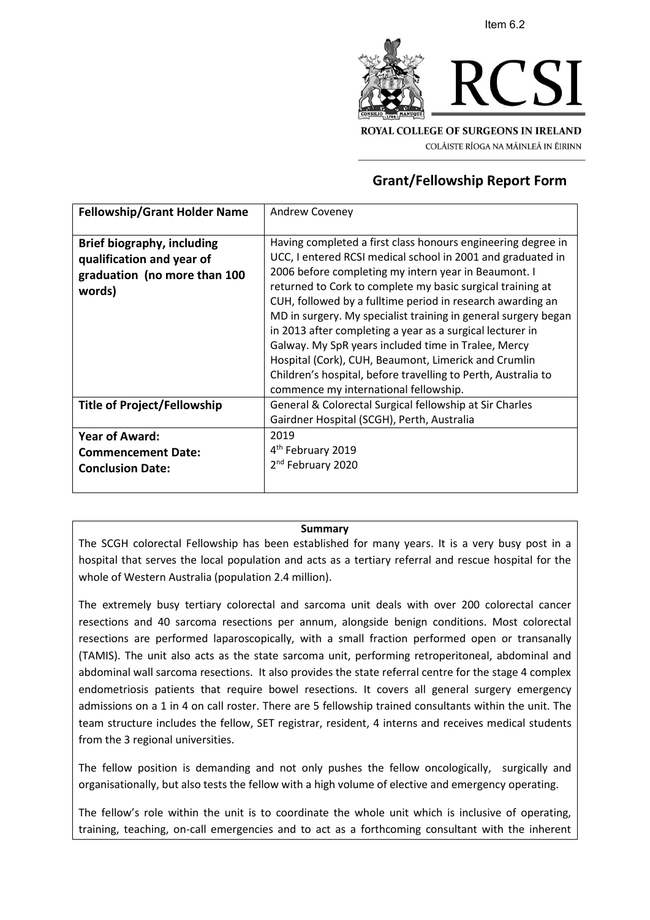



COLÁISTE RÍOGA NA MÁINLEÁ IN ÉIRINN

# **Grant/Fellowship Report Form**

| <b>Fellowship/Grant Holder Name</b>                                                                      | <b>Andrew Coveney</b>                                                                                                                                                                                                                                                                                                                                                                                                                                                                                                                                                                                                                                                   |
|----------------------------------------------------------------------------------------------------------|-------------------------------------------------------------------------------------------------------------------------------------------------------------------------------------------------------------------------------------------------------------------------------------------------------------------------------------------------------------------------------------------------------------------------------------------------------------------------------------------------------------------------------------------------------------------------------------------------------------------------------------------------------------------------|
| <b>Brief biography, including</b><br>qualification and year of<br>graduation (no more than 100<br>words) | Having completed a first class honours engineering degree in<br>UCC, I entered RCSI medical school in 2001 and graduated in<br>2006 before completing my intern year in Beaumont. I<br>returned to Cork to complete my basic surgical training at<br>CUH, followed by a fulltime period in research awarding an<br>MD in surgery. My specialist training in general surgery began<br>in 2013 after completing a year as a surgical lecturer in<br>Galway. My SpR years included time in Tralee, Mercy<br>Hospital (Cork), CUH, Beaumont, Limerick and Crumlin<br>Children's hospital, before travelling to Perth, Australia to<br>commence my international fellowship. |
| <b>Title of Project/Fellowship</b>                                                                       | General & Colorectal Surgical fellowship at Sir Charles<br>Gairdner Hospital (SCGH), Perth, Australia                                                                                                                                                                                                                                                                                                                                                                                                                                                                                                                                                                   |
| <b>Year of Award:</b><br><b>Commencement Date:</b><br><b>Conclusion Date:</b>                            | 2019<br>4 <sup>th</sup> February 2019<br>2 <sup>nd</sup> February 2020                                                                                                                                                                                                                                                                                                                                                                                                                                                                                                                                                                                                  |

#### **Summary**

The SCGH colorectal Fellowship has been established for many years. It is a very busy post in a hospital that serves the local population and acts as a tertiary referral and rescue hospital for the whole of Western Australia (population 2.4 million).

The extremely busy tertiary colorectal and sarcoma unit deals with over 200 colorectal cancer resections and 40 sarcoma resections per annum, alongside benign conditions. Most colorectal resections are performed laparoscopically, with a small fraction performed open or transanally (TAMIS). The unit also acts as the state sarcoma unit, performing retroperitoneal, abdominal and abdominal wall sarcoma resections. It also provides the state referral centre for the stage 4 complex endometriosis patients that require bowel resections. It covers all general surgery emergency admissions on a 1 in 4 on call roster. There are 5 fellowship trained consultants within the unit. The team structure includes the fellow, SET registrar, resident, 4 interns and receives medical students from the 3 regional universities.

The fellow position is demanding and not only pushes the fellow oncologically, surgically and organisationally, but also tests the fellow with a high volume of elective and emergency operating.

The fellow's role within the unit is to coordinate the whole unit which is inclusive of operating, training, teaching, on-call emergencies and to act as a forthcoming consultant with the inherent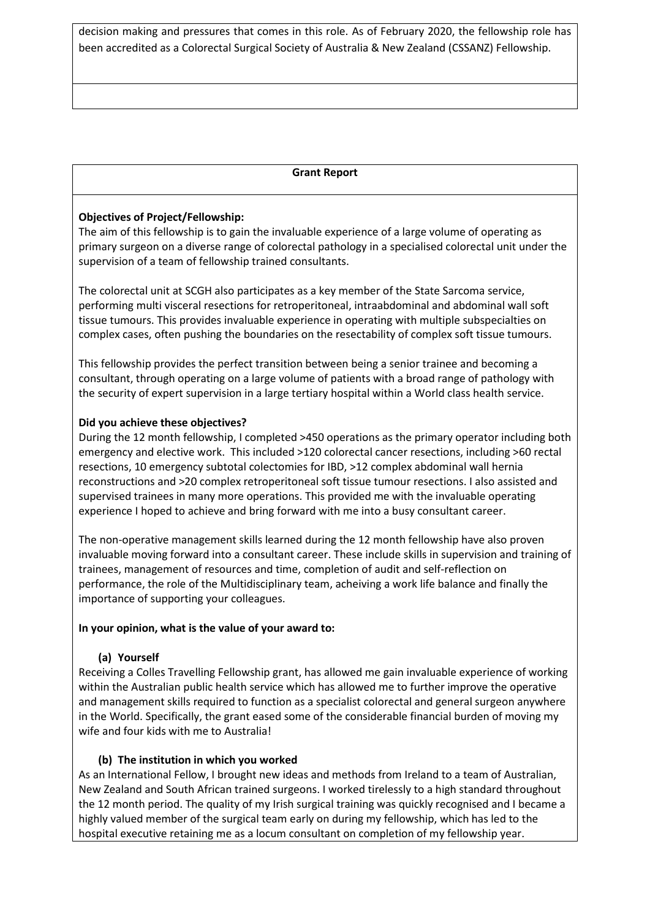decision making and pressures that comes in this role. As of February 2020, the fellowship role has been accredited as a Colorectal Surgical Society of Australia & New Zealand (CSSANZ) Fellowship.

### **Grant Report**

### **Objectives of Project/Fellowship:**

The aim of this fellowship is to gain the invaluable experience of a large volume of operating as primary surgeon on a diverse range of colorectal pathology in a specialised colorectal unit under the supervision of a team of fellowship trained consultants.

The colorectal unit at SCGH also participates as a key member of the State Sarcoma service, performing multi visceral resections for retroperitoneal, intraabdominal and abdominal wall soft tissue tumours. This provides invaluable experience in operating with multiple subspecialties on complex cases, often pushing the boundaries on the resectability of complex soft tissue tumours.

This fellowship provides the perfect transition between being a senior trainee and becoming a consultant, through operating on a large volume of patients with a broad range of pathology with the security of expert supervision in a large tertiary hospital within a World class health service.

#### **Did you achieve these objectives?**

During the 12 month fellowship, I completed >450 operations as the primary operator including both emergency and elective work. This included >120 colorectal cancer resections, including >60 rectal resections, 10 emergency subtotal colectomies for IBD, >12 complex abdominal wall hernia reconstructions and >20 complex retroperitoneal soft tissue tumour resections. I also assisted and supervised trainees in many more operations. This provided me with the invaluable operating experience I hoped to achieve and bring forward with me into a busy consultant career.

The non-operative management skills learned during the 12 month fellowship have also proven invaluable moving forward into a consultant career. These include skills in supervision and training of trainees, management of resources and time, completion of audit and self-reflection on performance, the role of the Multidisciplinary team, acheiving a work life balance and finally the importance of supporting your colleagues.

#### **In your opinion, what is the value of your award to:**

# **(a) Yourself**

Receiving a Colles Travelling Fellowship grant, has allowed me gain invaluable experience of working within the Australian public health service which has allowed me to further improve the operative and management skills required to function as a specialist colorectal and general surgeon anywhere in the World. Specifically, the grant eased some of the considerable financial burden of moving my wife and four kids with me to Australia!

# **(b) The institution in which you worked**

As an International Fellow, I brought new ideas and methods from Ireland to a team of Australian, New Zealand and South African trained surgeons. I worked tirelessly to a high standard throughout the 12 month period. The quality of my Irish surgical training was quickly recognised and I became a highly valued member of the surgical team early on during my fellowship, which has led to the hospital executive retaining me as a locum consultant on completion of my fellowship year.